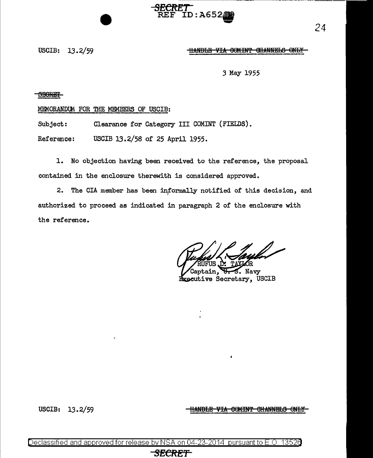## USCIB: 13.2/59 **ILLENDIE VIA COMINT CHANNELS ONLY**

*3* May 1955

**SEGRET** 

MEMORANDUM. FOR THE MEMBERS OF USCIB:

Subject: Clearance for Category III COMINT (FIELDS).

Reference: USCIB 13.2/58 of 25 April 1955.

1. No objection having been received to the reference, the proposal contained in the enclosure therewith is considered approved.

**SECRET** 

RECREI<br>REF ID:A652009

2. The CIA member has been informally notified of this decision, and authorized to proceed as indicated in paragraph 2 of the enclosure with the reference.

ul I

tain, U.S. Navy Executive Secretary, USCIB

USCIB:  $13.2/59$  THAND<del>LE VIA COMINT CHANNELS ONLY</del>

Declassified and approved for release by NSA on 04-23-2014 pursuantto E.O. 1352a

## **SECRE'f**